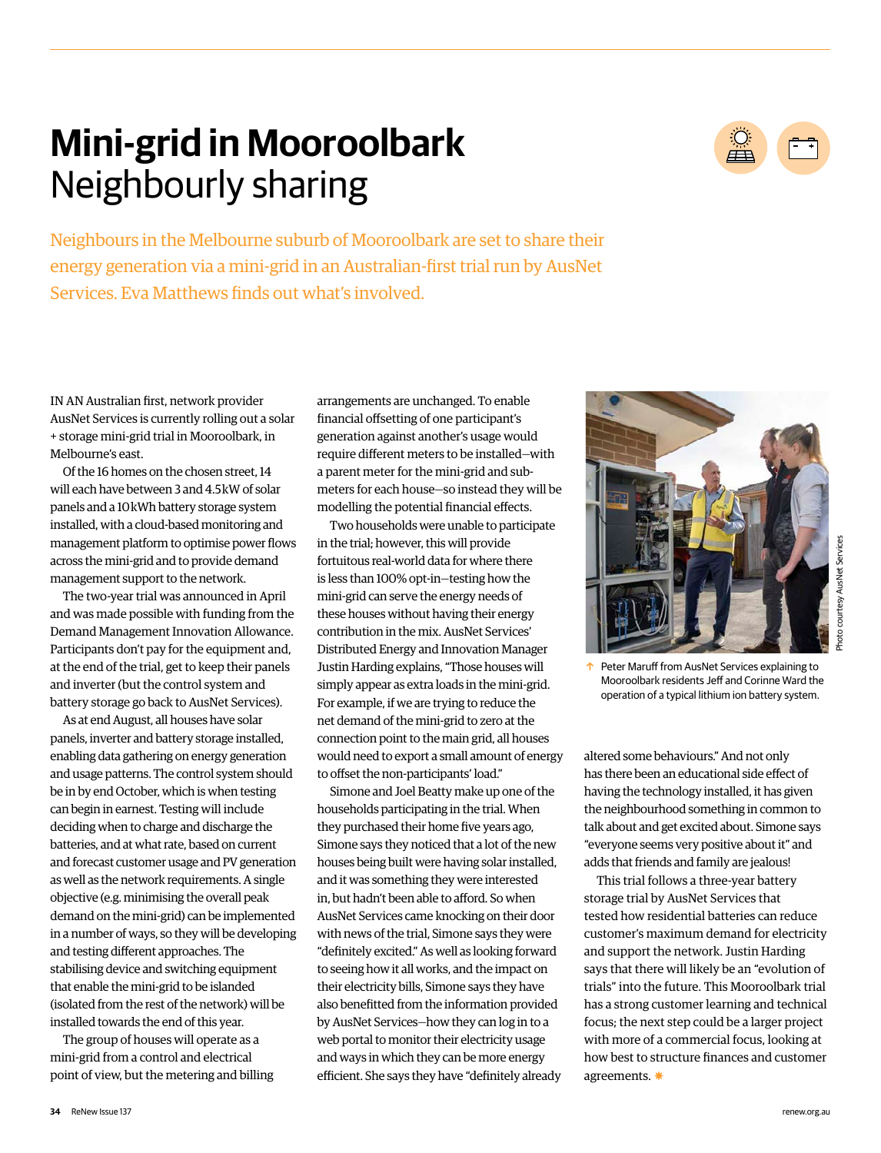# **Mini-grid in Mooroolbark** Neighbourly sharing



Neighbours in the Melbourne suburb of Mooroolbark are set to share their energy generation via a mini-grid in an Australian-first trial run by AusNet Services. Eva Matthews finds out what's involved.

IN AN Australian first, network provider AusNet Services is currently rolling out a solar + storage mini-grid trial in Mooroolbark, in Melbourne's east.

Of the 16 homes on the chosen street, 14 will each have between 3 and 4.5 kW of solar panels and a 10 kWh battery storage system installed, with a cloud-based monitoring and management platform to optimise power flows across the mini-grid and to provide demand management support to the network.

The two-year trial was announced in April and was made possible with funding from the Demand Management Innovation Allowance. Participants don't pay for the equipment and, at the end of the trial, get to keep their panels and inverter (but the control system and battery storage go back to AusNet Services).

As at end August, all houses have solar panels, inverter and battery storage installed, enabling data gathering on energy generation and usage patterns. The control system should be in by end October, which is when testing can begin in earnest. Testing will include deciding when to charge and discharge the batteries, and at what rate, based on current and forecast customer usage and PV generation as well as the network requirements. A single objective (e.g. minimising the overall peak demand on the mini-grid) can be implemented in a number of ways, so they will be developing and testing different approaches. The stabilising device and switching equipment that enable the mini-grid to be islanded (isolated from the rest of the network) will be installed towards the end of this year.

The group of houses will operate as a mini-grid from a control and electrical point of view, but the metering and billing arrangements are unchanged. To enable financial offsetting of one participant's generation against another's usage would require different meters to be installed—with a parent meter for the mini-grid and submeters for each house—so instead they will be modelling the potential financial effects.

Two households were unable to participate in the trial; however, this will provide fortuitous real-world data for where there is less than 100% opt-in—testing how the mini-grid can serve the energy needs of these houses without having their energy contribution in the mix. AusNet Services' Distributed Energy and Innovation Manager Justin Harding explains, "Those houses will simply appear as extra loads in the mini-grid. For example, if we are trying to reduce the net demand of the mini-grid to zero at the connection point to the main grid, all houses would need to export a small amount of energy to offset the non-participants' load."

Simone and Joel Beatty make up one of the households participating in the trial. When they purchased their home five years ago, Simone says they noticed that a lot of the new houses being built were having solar installed, and it was something they were interested in, but hadn't been able to afford. So when AusNet Services came knocking on their door with news of the trial, Simone says they were "definitely excited." As well as looking forward to seeing how it all works, and the impact on their electricity bills, Simone says they have also benefitted from the information provided by AusNet Services—how they can log in to a web portal to monitor their electricity usage and ways in which they can be more energy efficient. She says they have "definitely already



**1** Peter Maruff from AusNet Services explaining to Mooroolbark residents Jeff and Corinne Ward the operation of a typical lithium ion battery system.

altered some behaviours." And not only has there been an educational side effect of having the technology installed, it has given the neighbourhood something in common to talk about and get excited about. Simone says "everyone seems very positive about it" and adds that friends and family are jealous!

This trial follows a three-year battery storage trial by AusNet Services that tested how residential batteries can reduce customer's maximum demand for electricity and support the network. Justin Harding says that there will likely be an "evolution of trials" into the future. This Mooroolbark trial has a strong customer learning and technical focus; the next step could be a larger project with more of a commercial focus, looking at how best to structure finances and customer agreements.  $*$